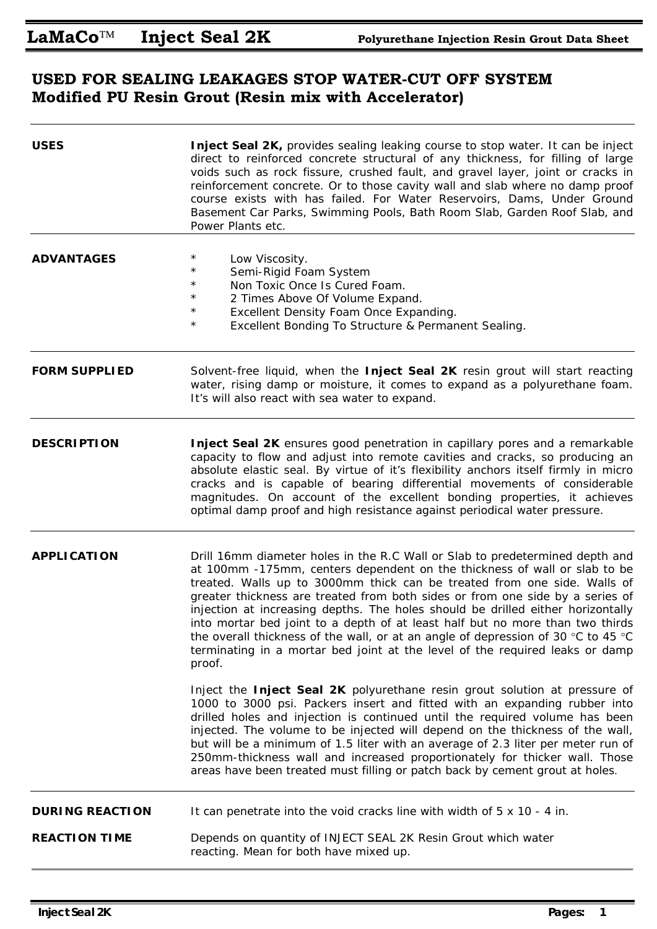## **USED FOR SEALING LEAKAGES STOP WATER-CUT OFF SYSTEM Modified PU Resin Grout (Resin mix with Accelerator)**

| Inject Seal 2K, provides sealing leaking course to stop water. It can be inject<br>direct to reinforced concrete structural of any thickness, for filling of large<br>voids such as rock fissure, crushed fault, and gravel layer, joint or cracks in<br>reinforcement concrete. Or to those cavity wall and slab where no damp proof<br>course exists with has failed. For Water Reservoirs, Dams, Under Ground<br>Basement Car Parks, Swimming Pools, Bath Room Slab, Garden Roof Slab, and<br>Power Plants etc.                                                                                                                                                        |  |  |
|---------------------------------------------------------------------------------------------------------------------------------------------------------------------------------------------------------------------------------------------------------------------------------------------------------------------------------------------------------------------------------------------------------------------------------------------------------------------------------------------------------------------------------------------------------------------------------------------------------------------------------------------------------------------------|--|--|
| $^\star$<br>Low Viscosity.<br>$^\star$<br>Semi-Rigid Foam System<br>Non Toxic Once Is Cured Foam.<br>$^\star$<br>$^\star$<br>2 Times Above Of Volume Expand.<br>Excellent Density Foam Once Expanding.<br>$^\star$<br>$^\star$<br>Excellent Bonding To Structure & Permanent Sealing.                                                                                                                                                                                                                                                                                                                                                                                     |  |  |
| Solvent-free liquid, when the Inject Seal 2K resin grout will start reacting<br>water, rising damp or moisture, it comes to expand as a polyurethane foam.<br>It's will also react with sea water to expand.                                                                                                                                                                                                                                                                                                                                                                                                                                                              |  |  |
| Inject Seal 2K ensures good penetration in capillary pores and a remarkable<br>capacity to flow and adjust into remote cavities and cracks, so producing an<br>absolute elastic seal. By virtue of it's flexibility anchors itself firmly in micro<br>cracks and is capable of bearing differential movements of considerable<br>magnitudes. On account of the excellent bonding properties, it achieves<br>optimal damp proof and high resistance against periodical water pressure.                                                                                                                                                                                     |  |  |
| Drill 16mm diameter holes in the R.C Wall or Slab to predetermined depth and<br>at 100mm -175mm, centers dependent on the thickness of wall or slab to be<br>treated. Walls up to 3000mm thick can be treated from one side. Walls of<br>greater thickness are treated from both sides or from one side by a series of<br>injection at increasing depths. The holes should be drilled either horizontally<br>into mortar bed joint to a depth of at least half but no more than two thirds<br>the overall thickness of the wall, or at an angle of depression of 30 °C to 45 °C<br>terminating in a mortar bed joint at the level of the required leaks or damp<br>proof. |  |  |
| Inject the Inject Seal 2K polyurethane resin grout solution at pressure of<br>1000 to 3000 psi. Packers insert and fitted with an expanding rubber into<br>drilled holes and injection is continued until the required volume has been<br>injected. The volume to be injected will depend on the thickness of the wall,<br>but will be a minimum of 1.5 liter with an average of 2.3 liter per meter run of<br>250mm-thickness wall and increased proportionately for thicker wall. Those<br>areas have been treated must filling or patch back by cement grout at holes.                                                                                                 |  |  |
| It can penetrate into the void cracks line with width of 5 x 10 - 4 in.                                                                                                                                                                                                                                                                                                                                                                                                                                                                                                                                                                                                   |  |  |
| Depends on quantity of INJECT SEAL 2K Resin Grout which water<br>reacting. Mean for both have mixed up.                                                                                                                                                                                                                                                                                                                                                                                                                                                                                                                                                                   |  |  |
|                                                                                                                                                                                                                                                                                                                                                                                                                                                                                                                                                                                                                                                                           |  |  |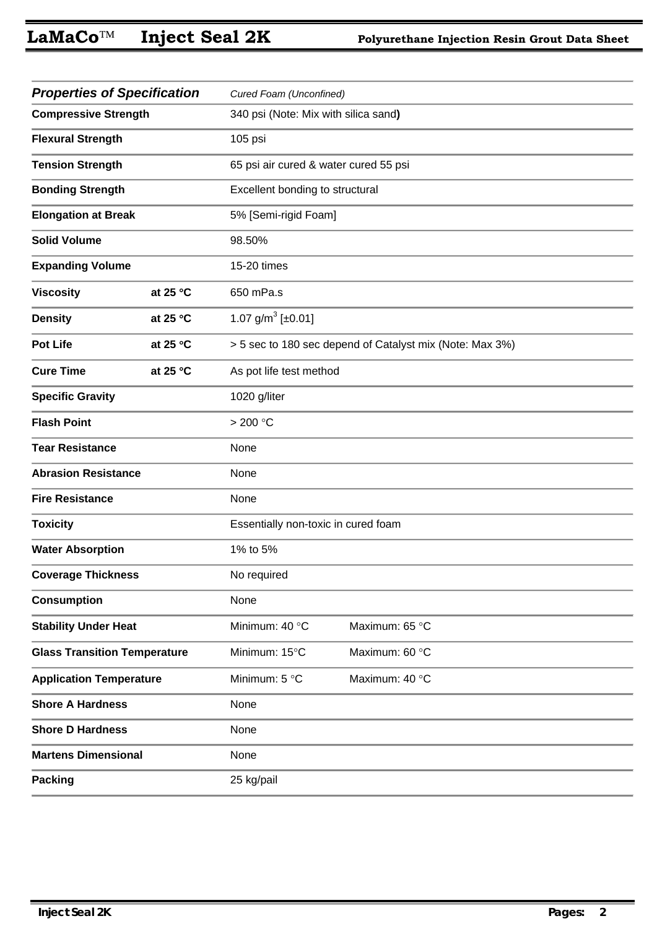| <b>Properties of Specification</b>  |                   | Cured Foam (Unconfined)               |                                                          |  |
|-------------------------------------|-------------------|---------------------------------------|----------------------------------------------------------|--|
| <b>Compressive Strength</b>         |                   | 340 psi (Note: Mix with silica sand)  |                                                          |  |
| <b>Flexural Strength</b>            |                   | 105 psi                               |                                                          |  |
| <b>Tension Strength</b>             |                   | 65 psi air cured & water cured 55 psi |                                                          |  |
| <b>Bonding Strength</b>             |                   | Excellent bonding to structural       |                                                          |  |
| <b>Elongation at Break</b>          |                   | 5% [Semi-rigid Foam]                  |                                                          |  |
| <b>Solid Volume</b>                 |                   | 98.50%                                |                                                          |  |
| <b>Expanding Volume</b>             |                   | 15-20 times                           |                                                          |  |
| <b>Viscosity</b>                    | at 25 °C          | 650 mPa.s                             |                                                          |  |
| <b>Density</b>                      | at 25 $\degree$ C | 1.07 $g/m^3$ [±0.01]                  |                                                          |  |
| <b>Pot Life</b>                     | at 25 $\degree$ C |                                       | > 5 sec to 180 sec depend of Catalyst mix (Note: Max 3%) |  |
| <b>Cure Time</b>                    | at 25 $\degree$ C | As pot life test method               |                                                          |  |
| <b>Specific Gravity</b>             |                   | 1020 g/liter                          |                                                          |  |
| <b>Flash Point</b>                  |                   | > 200 °C                              |                                                          |  |
| <b>Tear Resistance</b>              |                   | None                                  |                                                          |  |
| <b>Abrasion Resistance</b>          |                   | None                                  |                                                          |  |
| <b>Fire Resistance</b>              |                   | None                                  |                                                          |  |
| <b>Toxicity</b>                     |                   | Essentially non-toxic in cured foam   |                                                          |  |
| <b>Water Absorption</b>             |                   | 1% to 5%                              |                                                          |  |
| <b>Coverage Thickness</b>           |                   | No required                           |                                                          |  |
| <b>Consumption</b>                  |                   | None                                  |                                                          |  |
| <b>Stability Under Heat</b>         |                   | Minimum: 40 °C                        | Maximum: 65 °C                                           |  |
| <b>Glass Transition Temperature</b> |                   | Minimum: 15°C                         | Maximum: 60 °C                                           |  |
| <b>Application Temperature</b>      |                   | Minimum: 5 °C                         | Maximum: 40 °C                                           |  |
| <b>Shore A Hardness</b>             |                   | None                                  |                                                          |  |
| <b>Shore D Hardness</b>             |                   | None                                  |                                                          |  |
| <b>Martens Dimensional</b>          |                   | None                                  |                                                          |  |
| <b>Packing</b>                      |                   | 25 kg/pail                            |                                                          |  |